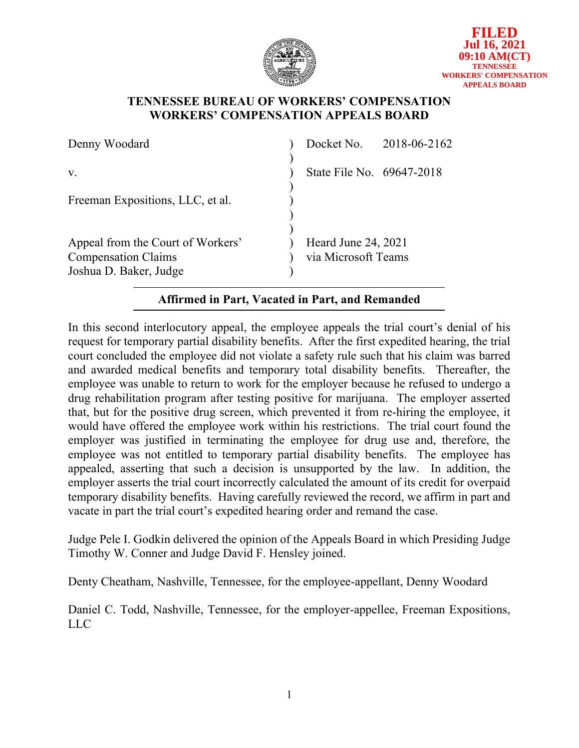

## **TENNESSEE BUREAU OF WORKERS' COMPENSATION WORKERS' COMPENSATION APPEALS BOARD**

| Denny Woodard                                                                             |                                            | Docket No. 2018-06-2162 |
|-------------------------------------------------------------------------------------------|--------------------------------------------|-------------------------|
| V.                                                                                        | State File No. 69647-2018                  |                         |
| Freeman Expositions, LLC, et al.                                                          |                                            |                         |
| Appeal from the Court of Workers'<br><b>Compensation Claims</b><br>Joshua D. Baker, Judge | Heard June 24, 2021<br>via Microsoft Teams |                         |

# **Affirmed in Part, Vacated in Part, and Remanded**

In this second interlocutory appeal, the employee appeals the trial court's denial of his request for temporary partial disability benefits. After the first expedited hearing, the trial court concluded the employee did not violate a safety rule such that his claim was barred and awarded medical benefits and temporary total disability benefits. Thereafter, the employee was unable to return to work for the employer because he refused to undergo a drug rehabilitation program after testing positive for marijuana. The employer asserted that, but for the positive drug screen, which prevented it from re-hiring the employee, it would have offered the employee work within his restrictions. The trial court found the employer was justified in terminating the employee for drug use and, therefore, the employee was not entitled to temporary partial disability benefits. The employee has appealed, asserting that such a decision is unsupported by the law. In addition, the employer asserts the trial court incorrectly calculated the amount of its credit for overpaid temporary disability benefits. Having carefully reviewed the record, we affirm in part and vacate in part the trial court's expedited hearing order and remand the case.

Judge Pele I. Godkin delivered the opinion of the Appeals Board in which Presiding Judge Timothy W. Conner and Judge David F. Hensley joined.

Denty Cheatham, Nashville, Tennessee, for the employee-appellant, Denny Woodard

Daniel C. Todd, Nashville, Tennessee, for the employer-appellee, Freeman Expositions, LLC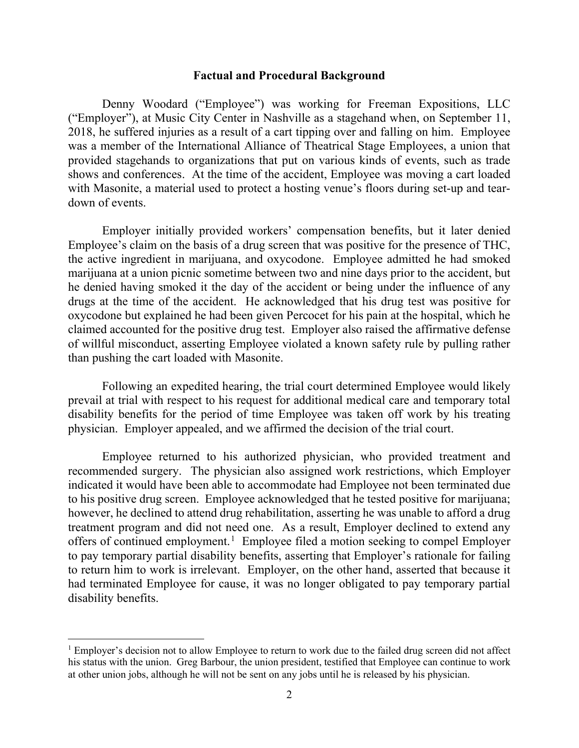#### **Factual and Procedural Background**

Denny Woodard ("Employee") was working for Freeman Expositions, LLC ("Employer"), at Music City Center in Nashville as a stagehand when, on September 11, 2018, he suffered injuries as a result of a cart tipping over and falling on him. Employee was a member of the International Alliance of Theatrical Stage Employees, a union that provided stagehands to organizations that put on various kinds of events, such as trade shows and conferences. At the time of the accident, Employee was moving a cart loaded with Masonite, a material used to protect a hosting venue's floors during set-up and teardown of events.

Employer initially provided workers' compensation benefits, but it later denied Employee's claim on the basis of a drug screen that was positive for the presence of THC, the active ingredient in marijuana, and oxycodone. Employee admitted he had smoked marijuana at a union picnic sometime between two and nine days prior to the accident, but he denied having smoked it the day of the accident or being under the influence of any drugs at the time of the accident. He acknowledged that his drug test was positive for oxycodone but explained he had been given Percocet for his pain at the hospital, which he claimed accounted for the positive drug test. Employer also raised the affirmative defense of willful misconduct, asserting Employee violated a known safety rule by pulling rather than pushing the cart loaded with Masonite.

Following an expedited hearing, the trial court determined Employee would likely prevail at trial with respect to his request for additional medical care and temporary total disability benefits for the period of time Employee was taken off work by his treating physician. Employer appealed, and we affirmed the decision of the trial court.

Employee returned to his authorized physician, who provided treatment and recommended surgery. The physician also assigned work restrictions, which Employer indicated it would have been able to accommodate had Employee not been terminated due to his positive drug screen. Employee acknowledged that he tested positive for marijuana; however, he declined to attend drug rehabilitation, asserting he was unable to afford a drug treatment program and did not need one. As a result, Employer declined to extend any offers of continued employment.<sup>[1](#page-1-0)</sup> Employee filed a motion seeking to compel Employer to pay temporary partial disability benefits, asserting that Employer's rationale for failing to return him to work is irrelevant. Employer, on the other hand, asserted that because it had terminated Employee for cause, it was no longer obligated to pay temporary partial disability benefits.

<span id="page-1-0"></span><sup>&</sup>lt;sup>1</sup> Employer's decision not to allow Employee to return to work due to the failed drug screen did not affect his status with the union. Greg Barbour, the union president, testified that Employee can continue to work at other union jobs, although he will not be sent on any jobs until he is released by his physician.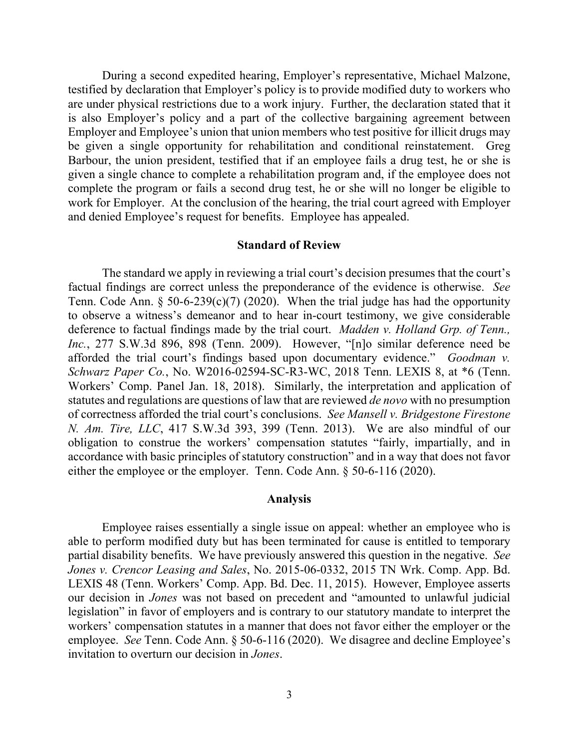During a second expedited hearing, Employer's representative, Michael Malzone, testified by declaration that Employer's policy is to provide modified duty to workers who are under physical restrictions due to a work injury. Further, the declaration stated that it is also Employer's policy and a part of the collective bargaining agreement between Employer and Employee's union that union members who test positive for illicit drugs may be given a single opportunity for rehabilitation and conditional reinstatement. Greg Barbour, the union president, testified that if an employee fails a drug test, he or she is given a single chance to complete a rehabilitation program and, if the employee does not complete the program or fails a second drug test, he or she will no longer be eligible to work for Employer. At the conclusion of the hearing, the trial court agreed with Employer and denied Employee's request for benefits. Employee has appealed.

### **Standard of Review**

The standard we apply in reviewing a trial court's decision presumes that the court's factual findings are correct unless the preponderance of the evidence is otherwise. *See* Tenn. Code Ann.  $\S 50-6-239(c)(7)$  (2020). When the trial judge has had the opportunity to observe a witness's demeanor and to hear in-court testimony, we give considerable deference to factual findings made by the trial court. *Madden v. Holland Grp. of Tenn., Inc.*, 277 S.W.3d 896, 898 (Tenn. 2009). However, "[n]o similar deference need be afforded the trial court's findings based upon documentary evidence." *Goodman v. Schwarz Paper Co.*, No. W2016-02594-SC-R3-WC, 2018 Tenn. LEXIS 8, at \*6 (Tenn. Workers' Comp. Panel Jan. 18, 2018). Similarly, the interpretation and application of statutes and regulations are questions of law that are reviewed *de novo* with no presumption of correctness afforded the trial court's conclusions. *See Mansell v. Bridgestone Firestone N. Am. Tire, LLC*, 417 S.W.3d 393, 399 (Tenn. 2013). We are also mindful of our obligation to construe the workers' compensation statutes "fairly, impartially, and in accordance with basic principles of statutory construction" and in a way that does not favor either the employee or the employer. Tenn. Code Ann. § 50-6-116 (2020).

#### **Analysis**

Employee raises essentially a single issue on appeal: whether an employee who is able to perform modified duty but has been terminated for cause is entitled to temporary partial disability benefits. We have previously answered this question in the negative. *See Jones v. Crencor Leasing and Sales*, No. 2015-06-0332, 2015 TN Wrk. Comp. App. Bd. LEXIS 48 (Tenn. Workers' Comp. App. Bd. Dec. 11, 2015). However, Employee asserts our decision in *Jones* was not based on precedent and "amounted to unlawful judicial legislation" in favor of employers and is contrary to our statutory mandate to interpret the workers' compensation statutes in a manner that does not favor either the employer or the employee. *See* Tenn. Code Ann. § 50-6-116 (2020). We disagree and decline Employee's invitation to overturn our decision in *Jones*.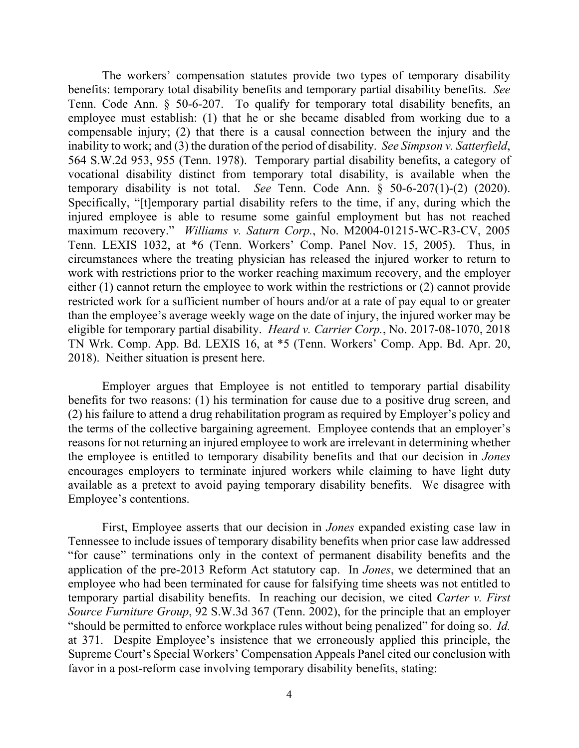The workers' compensation statutes provide two types of temporary disability benefits: temporary total disability benefits and temporary partial disability benefits. *See* Tenn. Code Ann. § 50-6-207. To qualify for temporary total disability benefits, an employee must establish: (1) that he or she became disabled from working due to a compensable injury; (2) that there is a causal connection between the injury and the inability to work; and (3) the duration of the period of disability. *See Simpson v. Satterfield*, 564 S.W.2d 953, 955 (Tenn. 1978). Temporary partial disability benefits, a category of vocational disability distinct from temporary total disability, is available when the temporary disability is not total. *See* Tenn. Code Ann. § 50-6-207(1)-(2) (2020). Specifically, "[t]emporary partial disability refers to the time, if any, during which the injured employee is able to resume some gainful employment but has not reached maximum recovery." *Williams v. Saturn Corp.*, No. M2004-01215-WC-R3-CV, 2005 Tenn. LEXIS 1032, at \*6 (Tenn. Workers' Comp. Panel Nov. 15, 2005). Thus, in circumstances where the treating physician has released the injured worker to return to work with restrictions prior to the worker reaching maximum recovery, and the employer either (1) cannot return the employee to work within the restrictions or (2) cannot provide restricted work for a sufficient number of hours and/or at a rate of pay equal to or greater than the employee's average weekly wage on the date of injury, the injured worker may be eligible for temporary partial disability. *Heard v. Carrier Corp.*, No. 2017-08-1070, 2018 TN Wrk. Comp. App. Bd. LEXIS 16, at \*5 (Tenn. Workers' Comp. App. Bd. Apr. 20, 2018). Neither situation is present here.

Employer argues that Employee is not entitled to temporary partial disability benefits for two reasons: (1) his termination for cause due to a positive drug screen, and (2) his failure to attend a drug rehabilitation program as required by Employer's policy and the terms of the collective bargaining agreement. Employee contends that an employer's reasons for not returning an injured employee to work are irrelevant in determining whether the employee is entitled to temporary disability benefits and that our decision in *Jones* encourages employers to terminate injured workers while claiming to have light duty available as a pretext to avoid paying temporary disability benefits. We disagree with Employee's contentions.

First, Employee asserts that our decision in *Jones* expanded existing case law in Tennessee to include issues of temporary disability benefits when prior case law addressed "for cause" terminations only in the context of permanent disability benefits and the application of the pre-2013 Reform Act statutory cap. In *Jones*, we determined that an employee who had been terminated for cause for falsifying time sheets was not entitled to temporary partial disability benefits. In reaching our decision, we cited *Carter v. First Source Furniture Group*, 92 S.W.3d 367 (Tenn. 2002), for the principle that an employer "should be permitted to enforce workplace rules without being penalized" for doing so. *Id.* at 371. Despite Employee's insistence that we erroneously applied this principle, the Supreme Court's Special Workers' Compensation Appeals Panel cited our conclusion with favor in a post-reform case involving temporary disability benefits, stating: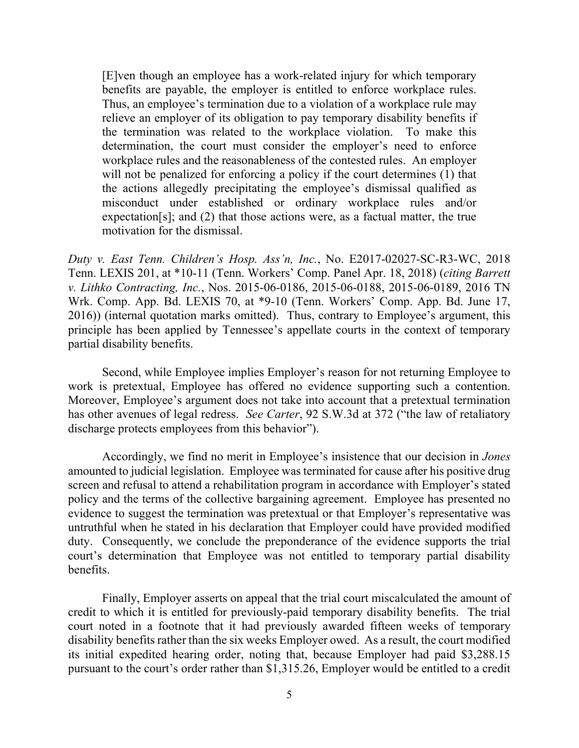[E]ven though an employee has a work-related injury for which temporary benefits are payable, the employer is entitled to enforce workplace rules. Thus, an employee's termination due to a violation of a workplace rule may relieve an employer of its obligation to pay temporary disability benefits if the termination was related to the workplace violation. To make this determination, the court must consider the employer's need to enforce workplace rules and the reasonableness of the contested rules. An employer will not be penalized for enforcing a policy if the court determines (1) that the actions allegedly precipitating the employee's dismissal qualified as misconduct under established or ordinary workplace rules and/or expectation[s]; and (2) that those actions were, as a factual matter, the true motivation for the dismissal.

*Duty v. East Tenn. Children's Hosp. Ass'n, Inc.*, No. E2017-02027-SC-R3-WC, 2018 Tenn. LEXIS 201, at \*10-11 (Tenn. Workers' Comp. Panel Apr. 18, 2018) (*citing Barrett v. Lithko Contracting, Inc.*, Nos. 2015-06-0186, 2015-06-0188, 2015-06-0189, 2016 TN Wrk. Comp. App. Bd. LEXIS 70, at \*9-10 (Tenn. Workers' Comp. App. Bd. June 17, 2016)) (internal quotation marks omitted). Thus, contrary to Employee's argument, this principle has been applied by Tennessee's appellate courts in the context of temporary partial disability benefits.

Second, while Employee implies Employer's reason for not returning Employee to work is pretextual, Employee has offered no evidence supporting such a contention. Moreover, Employee's argument does not take into account that a pretextual termination has other avenues of legal redress. *See Carter*, 92 S.W.3d at 372 ("the law of retaliatory discharge protects employees from this behavior").

Accordingly, we find no merit in Employee's insistence that our decision in *Jones* amounted to judicial legislation. Employee was terminated for cause after his positive drug screen and refusal to attend a rehabilitation program in accordance with Employer's stated policy and the terms of the collective bargaining agreement. Employee has presented no evidence to suggest the termination was pretextual or that Employer's representative was untruthful when he stated in his declaration that Employer could have provided modified duty. Consequently, we conclude the preponderance of the evidence supports the trial court's determination that Employee was not entitled to temporary partial disability benefits.

Finally, Employer asserts on appeal that the trial court miscalculated the amount of credit to which it is entitled for previously-paid temporary disability benefits. The trial court noted in a footnote that it had previously awarded fifteen weeks of temporary disability benefits rather than the six weeks Employer owed. As a result, the court modified its initial expedited hearing order, noting that, because Employer had paid \$3,288.15 pursuant to the court's order rather than \$1,315.26, Employer would be entitled to a credit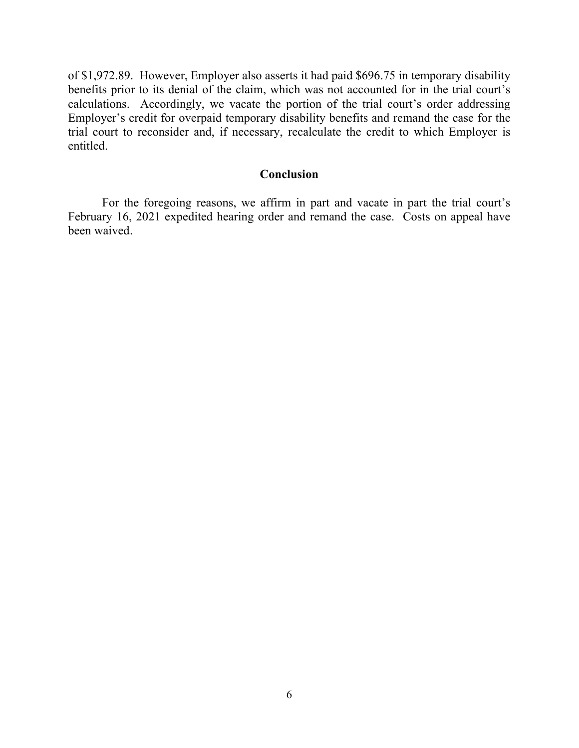of \$1,972.89. However, Employer also asserts it had paid \$696.75 in temporary disability benefits prior to its denial of the claim, which was not accounted for in the trial court's calculations. Accordingly, we vacate the portion of the trial court's order addressing Employer's credit for overpaid temporary disability benefits and remand the case for the trial court to reconsider and, if necessary, recalculate the credit to which Employer is entitled.

### **Conclusion**

For the foregoing reasons, we affirm in part and vacate in part the trial court's February 16, 2021 expedited hearing order and remand the case. Costs on appeal have been waived.